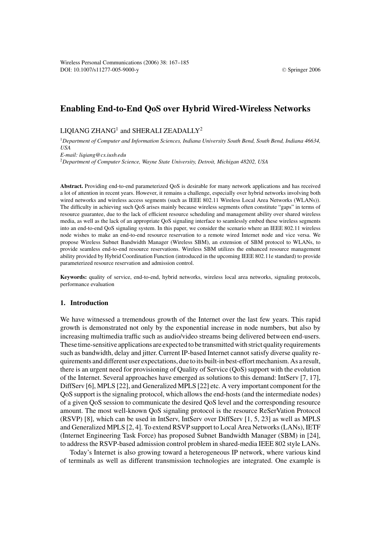## LIOIANG  $ZHANG<sup>1</sup>$  and SHERALI ZEADALLY<sup>2</sup>

<sup>1</sup>*Department of Computer and Information Sciences, Indiana University South Bend, South Bend, Indiana 46634, USA*

*E-mail: liqiang@cs.iusb.edu*

<sup>2</sup>*Department of Computer Science, Wayne State University, Detroit, Michigan 48202, USA*

**Abstract.** Providing end-to-end parameterized QoS is desirable for many network applications and has received a lot of attention in recent years. However, it remains a challenge, especially over hybrid networks involving both wired networks and wireless access segments (such as IEEE 802.11 Wireless Local Area Networks (WLANs)). The difficulty in achieving such QoS arises mainly because wireless segments often constitute "gaps" in terms of resource guarantee, due to the lack of efficient resource scheduling and management ability over shared wireless media, as well as the lack of an appropriate QoS signaling interface to seamlessly embed these wireless segments into an end-to-end QoS signaling system. In this paper, we consider the scenario where an IEEE 802.11 wireless node wishes to make an end-to-end resource reservation to a remote wired Internet node and vice versa. We propose Wireless Subnet Bandwidth Manager (Wireless SBM), an extension of SBM protocol to WLANs, to provide seamless end-to-end resource reservations. Wireless SBM utilizes the enhanced resource management ability provided by Hybrid Coordination Function (introduced in the upcoming IEEE 802.11e standard) to provide parameterized resource reservation and admission control.

**Keywords:** quality of service, end-to-end, hybrid networks, wireless local area networks, signaling protocols, performance evaluation

### **1. Introduction**

We have witnessed a tremendous growth of the Internet over the last few years. This rapid growth is demonstrated not only by the exponential increase in node numbers, but also by increasing multimedia traffic such as audio/video streams being delivered between end-users. These time-sensitive applications are expected to be transmitted with strict quality requirements such as bandwidth, delay and jitter. Current IP-based Internet cannot satisfy diverse quality requirements and different user expectations, due to its built-in best-effort mechanism. As a result, there is an urgent need for provisioning of Quality of Service (QoS) support with the evolution of the Internet. Several approaches have emerged as solutions to this demand: IntServ [7, 17], DiffServ [6], MPLS [22], and Generalized MPLS [22] etc. A very important component for the QoS support is the signaling protocol, which allows the end-hosts (and the intermediate nodes) of a given QoS session to communicate the desired QoS level and the corresponding resource amount. The most well-known QoS signaling protocol is the resource ReSerVation Protocol (RSVP) [8], which can be used in IntServ, IntServ over DiffServ [1, 5, 23] as well as MPLS and Generalized MPLS [2, 4]. To extend RSVP support to Local Area Networks (LANs), IETF (Internet Engineering Task Force) has proposed Subnet Bandwidth Manager (SBM) in [24], to address the RSVP-based admission control problem in shared-media IEEE 802 style LANs.

Today's Internet is also growing toward a heterogeneous IP network, where various kind of terminals as well as different transmission technologies are integrated. One example is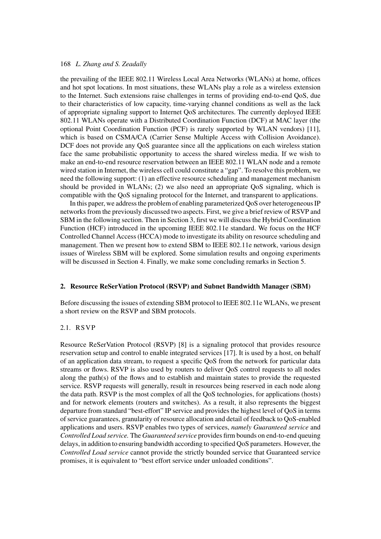the prevailing of the IEEE 802.11 Wireless Local Area Networks (WLANs) at home, offices and hot spot locations. In most situations, these WLANs play a role as a wireless extension to the Internet. Such extensions raise challenges in terms of providing end-to-end QoS, due to their characteristics of low capacity, time-varying channel conditions as well as the lack of appropriate signaling support to Internet QoS architectures. The currently deployed IEEE 802.11 WLANs operate with a Distributed Coordination Function (DCF) at MAC layer (the optional Point Coordination Function (PCF) is rarely supported by WLAN vendors) [11], which is based on CSMA/CA (Carrier Sense Multiple Access with Collision Avoidance). DCF does not provide any QoS guarantee since all the applications on each wireless station face the same probabilistic opportunity to access the shared wireless media. If we wish to make an end-to-end resource reservation between an IEEE 802.11 WLAN node and a remote wired station in Internet, the wireless cell could constitute a "gap". To resolve this problem, we need the following support: (1) an effective resource scheduling and management mechanism should be provided in WLANs; (2) we also need an appropriate QoS signaling, which is compatible with the QoS signaling protocol for the Internet, and transparent to applications.

In this paper, we address the problem of enabling parameterized QoS over heterogeneous IP networks from the previously discussed two aspects. First, we give a brief review of RSVP and SBM in the following section. Then in Section 3, first we will discuss the Hybrid Coordination Function (HCF) introduced in the upcoming IEEE 802.11e standard. We focus on the HCF Controlled Channel Access (HCCA) mode to investigate its ability on resource scheduling and management. Then we present how to extend SBM to IEEE 802.11e network, various design issues of Wireless SBM will be explored. Some simulation results and ongoing experiments will be discussed in Section 4. Finally, we make some concluding remarks in Section 5.

### **2. Resource ReSerVation Protocol (RSVP) and Subnet Bandwidth Manager (SBM)**

Before discussing the issues of extending SBM protocol to IEEE 802.11e WLANs, we present a short review on the RSVP and SBM protocols.

## 2.1. RSVP

Resource ReSerVation Protocol (RSVP) [8] is a signaling protocol that provides resource reservation setup and control to enable integrated services [17]. It is used by a host, on behalf of an application data stream, to request a specific QoS from the network for particular data streams or flows. RSVP is also used by routers to deliver QoS control requests to all nodes along the path(s) of the flows and to establish and maintain states to provide the requested service. RSVP requests will generally, result in resources being reserved in each node along the data path. RSVP is the most complex of all the QoS technologies, for applications (hosts) and for network elements (routers and switches). As a result, it also represents the biggest departure from standard "best-effort" IP service and provides the highest level of QoS in terms of service guarantees, granularity of resource allocation and detail of feedback to QoS-enabled applications and users. RSVP enables two types of services, *namely Guaranteed service* and *Controlled Load service.* The *Guaranteed service* provides firm bounds on end-to-end queuing delays, in addition to ensuring bandwidth according to specified QoS parameters. However, the *Controlled Load service* cannot provide the strictly bounded service that Guaranteed service promises, it is equivalent to "best effort service under unloaded conditions".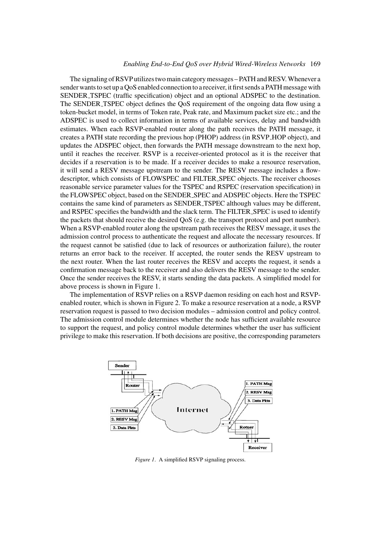The signaling of RSVP utilizes two main category messages – PATH and RESV. Whenever a sender wants to set up a QoS enabled connection to a receiver, it first sends a PATH message with SENDER TSPEC (traffic specification) object and an optional ADSPEC to the destination. The SENDER TSPEC object defines the QoS requirement of the ongoing data flow using a token-bucket model, in terms of Token rate, Peak rate, and Maximum packet size etc.; and the ADSPEC is used to collect information in terms of available services, delay and bandwidth estimates. When each RSVP-enabled router along the path receives the PATH message, it creates a PATH state recording the previous hop (PHOP) address (in RSVP HOP object), and updates the ADSPEC object, then forwards the PATH message downstream to the next hop, until it reaches the receiver. RSVP is a receiver-oriented protocol as it is the receiver that decides if a reservation is to be made. If a receiver decides to make a resource reservation, it will send a RESV message upstream to the sender. The RESV message includes a flowdescriptor, which consists of FLOWSPEC and FILTER SPEC objects. The receiver chooses reasonable service parameter values for the TSPEC and RSPEC (reservation specification) in the FLOWSPEC object, based on the SENDER SPEC and ADSPEC objects. Here the TSPEC contains the same kind of parameters as SENDER TSPEC although values may be different, and RSPEC specifies the bandwidth and the slack term. The FILTER\_SPEC is used to identify the packets that should receive the desired QoS (e.g. the transport protocol and port number). When a RSVP-enabled router along the upstream path receives the RESV message, it uses the admission control process to authenticate the request and allocate the necessary resources. If the request cannot be satisfied (due to lack of resources or authorization failure), the router returns an error back to the receiver. If accepted, the router sends the RESV upstream to the next router. When the last router receives the RESV and accepts the request, it sends a confirmation message back to the receiver and also delivers the RESV message to the sender. Once the sender receives the RESV, it starts sending the data packets. A simplified model for above process is shown in Figure 1.

The implementation of RSVP relies on a RSVP daemon residing on each host and RSVPenabled router, which is shown in Figure 2. To make a resource reservation at a node, a RSVP reservation request is passed to two decision modules – admission control and policy control. The admission control module determines whether the node has sufficient available resource to support the request, and policy control module determines whether the user has sufficient privilege to make this reservation. If both decisions are positive, the corresponding parameters



*Figure 1.* A simplified RSVP signaling process.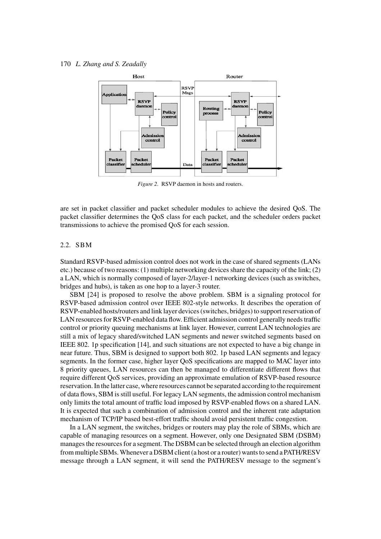

*Figure 2*. RSVP daemon in hosts and routers.

are set in packet classifier and packet scheduler modules to achieve the desired QoS. The packet classifier determines the QoS class for each packet, and the scheduler orders packet transmissions to achieve the promised QoS for each session.

## 2.2. SBM

Standard RSVP-based admission control does not work in the case of shared segments (LANs etc.) because of two reasons: (1) multiple networking devices share the capacity of the link; (2) a LAN, which is normally composed of layer-2/layer-1 networking devices (such as switches, bridges and hubs), is taken as one hop to a layer-3 router.

SBM [24] is proposed to resolve the above problem. SBM is a signaling protocol for RSVP-based admission control over IEEE 802-style networks. It describes the operation of RSVP-enabled hosts/routers and link layer devices (switches, bridges) to support reservation of LAN resources for RSVP-enabled data flow. Efficient admission control generally needs traffic control or priority queuing mechanisms at link layer. However, current LAN technologies are still a mix of legacy shared/switched LAN segments and newer switched segments based on IEEE 802. 1p specification [14], and such situations are not expected to have a big change in near future. Thus, SBM is designed to support both 802. 1p based LAN segments and legacy segments. In the former case, higher layer QoS specifications are mapped to MAC layer into 8 priority queues, LAN resources can then be managed to differentiate different flows that require different QoS services, providing an approximate emulation of RSVP-based resource reservation. In the latter case, where resources cannot be separated according to the requirement of data flows, SBM is still useful. For legacy LAN segments, the admission control mechanism only limits the total amount of traffic load imposed by RSVP-enabled flows on a shared LAN. It is expected that such a combination of admission control and the inherent rate adaptation mechanism of TCP/IP based best-effort traffic should avoid persistent traffic congestion.

In a LAN segment, the switches, bridges or routers may play the role of SBMs, which are capable of managing resources on a segment. However, only one Designated SBM (DSBM) manages the resources for a segment. The DSBM can be selected through an election algorithm from multiple SBMs. Whenever a DSBM client (a host or a router) wants to send a PATH/RESV message through a LAN segment, it will send the PATH/RESV message to the segment's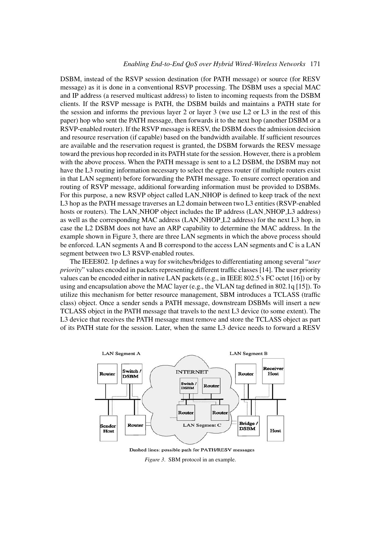DSBM, instead of the RSVP session destination (for PATH message) or source (for RESV message) as it is done in a conventional RSVP processing. The DSBM uses a special MAC and IP address (a reserved multicast address) to listen to incoming requests from the DSBM clients. If the RSVP message is PATH, the DSBM builds and maintains a PATH state for the session and informs the previous layer 2 or layer 3 (we use L2 or L3 in the rest of this paper) hop who sent the PATH message, then forwards it to the next hop (another DSBM or a RSVP-enabled router). If the RSVP message is RESV, the DSBM does the admission decision and resource reservation (if capable) based on the bandwidth available. If sufficient resources are available and the reservation request is granted, the DSBM forwards the RESV message toward the previous hop recorded in its PATH state for the session. However, there is a problem with the above process. When the PATH message is sent to a L2 DSBM, the DSBM may not have the L3 routing information necessary to select the egress router (if multiple routers exist in that LAN segment) before forwarding the PATH message. To ensure correct operation and routing of RSVP message, additional forwarding information must be provided to DSBMs. For this purpose, a new RSVP object called LAN NHOP is defined to keep track of the next L3 hop as the PATH message traverses an L2 domain between two L3 entities (RSVP-enabled hosts or routers). The LAN\_NHOP object includes the IP address (LAN\_NHOP\_L3 address) as well as the corresponding MAC address (LAN NHOP L2 address) for the next L3 hop, in case the L2 DSBM does not have an ARP capability to determine the MAC address. In the example shown in Figure 3, there are three LAN segments in which the above process should be enforced. LAN segments A and B correspond to the access LAN segments and C is a LAN segment between two L3 RSVP-enabled routes.

The IEEE802. 1p defines a way for switches/bridges to differentiating among several "*user priority*" values encoded in packets representing different traffic classes [14]. The user priority values can be encoded either in native LAN packets (e.g., in IEEE 802.5's FC octet [16]) or by using and encapsulation above the MAC layer (e.g., the VLAN tag defined in 802.1q [15]). To utilize this mechanism for better resource management, SBM introduces a TCLASS (traffic class) object. Once a sender sends a PATH message, downstream DSBMs will insert a new TCLASS object in the PATH message that travels to the next L3 device (to some extent). The L3 device that receives the PATH message must remove and store the TCLASS object as part of its PATH state for the session. Later, when the same L3 device needs to forward a RESV



*Figure 3*. SBM protocol in an example.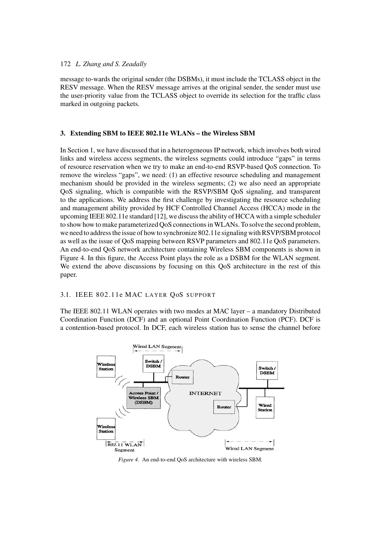message to-wards the original sender (the DSBMs), it must include the TCLASS object in the RESV message. When the RESV message arrives at the original sender, the sender must use the user-priority value from the TCLASS object to override its selection for the traffic class marked in outgoing packets.

## **3. Extending SBM to IEEE 802.11e WLANs – the Wireless SBM**

In Section 1, we have discussed that in a heterogeneous IP network, which involves both wired links and wireless access segments, the wireless segments could introduce "gaps" in terms of resource reservation when we try to make an end-to-end RSVP-based QoS connection. To remove the wireless "gaps", we need: (1) an effective resource scheduling and management mechanism should be provided in the wireless segments; (2) we also need an appropriate QoS signaling, which is compatible with the RSVP/SBM QoS signaling, and transparent to the applications. We address the first challenge by investigating the resource scheduling and management ability provided by HCF Controlled Channel Access (HCCA) mode in the upcoming IEEE 802.11e standard [12], we discuss the ability of HCCA with a simple scheduler to show how to make parameterized QoS connections in WLANs. To solve the second problem, we need to address the issue of how to synchronize 802.11e signaling with RSVP/SBM protocol as well as the issue of QoS mapping between RSVP parameters and 802.11e QoS parameters. An end-to-end QoS network architecture containing Wireless SBM components is shown in Figure 4. In this figure, the Access Point plays the role as a DSBM for the WLAN segment. We extend the above discussions by focusing on this QoS architecture in the rest of this paper.

## 3.1. IEEE 802.11e MAC LAYER QoS SUPPORT

The IEEE 802.11 WLAN operates with two modes at MAC layer – a mandatory Distributed Coordination Function (DCF) and an optional Point Coordination Function (PCF). DCF is a contention-based protocol. In DCF, each wireless station has to sense the channel before



*Figure 4*. An end-to-end QoS architecture with wireless SBM.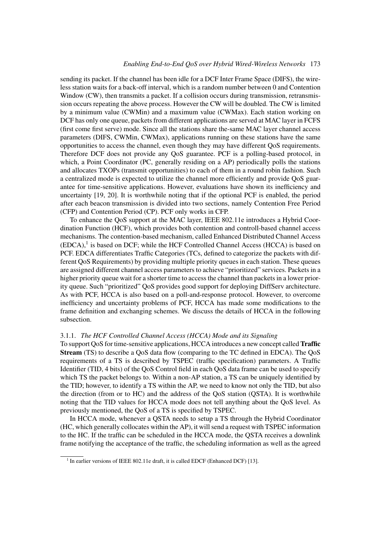sending its packet. If the channel has been idle for a DCF Inter Frame Space (DIFS), the wireless station waits for a back-off interval, which is a random number between 0 and Contention Window (CW), then transmits a packet. If a collision occurs during transmission, retransmission occurs repeating the above process. However the CW will be doubled. The CW is limited by a minimum value (CWMin) and a maximum value (CWMax). Each station working on DCF has only one queue, packets from different applications are served at MAC layer in FCFS (first come first serve) mode. Since all the stations share the-same MAC layer channel access parameters (DIFS, CWMin, CWMax), applications running on these stations have the same opportunities to access the channel, even though they may have different QoS requirements. Therefore DCF does not provide any QoS guarantee. PCF is a polling-based protocol, in which, a Point Coordinator (PC, generally residing on a AP) periodically polls the stations and allocates TXOPs (transmit opportunities) to each of them in a round robin fashion. Such a centralized mode is expected to utilize the channel more efficiently and provide QoS guarantee for time-sensitive applications. However, evaluations have shown its inefficiency and uncertainty [19, 20]. It is worthwhile noting that if the optional PCF is enabled, the period after each beacon transmission is divided into two sections, namely Contention Free Period (CFP) and Contention Period (CP). PCF only works in CFP.

To enhance the QoS support at the MAC layer, IEEE 802.11e introduces a Hybrid Coordination Function (HCF), which provides both contention and controll-based channel access mechanisms. The contention-based mechanism, called Enhanced Distributed Channel Access  $(EDCA)$ ,<sup>1</sup> is based on DCF; while the HCF Controlled Channel Access (HCCA) is based on PCF. EDCA differentiates Traffic Categories (TCs, defined to categorize the packets with different QoS Requirements) by providing multiple priority queues in each station. These queues are assigned different channel access parameters to achieve "prioritized" services. Packets in a higher priority queue wait for a shorter time to access the channel than packets in a lower priority queue. Such "prioritized" QoS provides good support for deploying DiffServ architecture. As with PCF, HCCA is also based on a poll-and-response protocol. However, to overcome inefficiency and uncertainty problems of PCF, HCCA has made some modifications to the frame definition and exchanging schemes. We discuss the details of HCCA in the following subsection.

#### 3.1.1. *The HCF Controlled Channel Access (HCCA) Mode and its Signaling*

To support QoS for time-sensitive applications, HCCA introduces a new concept called **Traffic Stream** (TS) to describe a QoS data flow (comparing to the TC defined in EDCA). The QoS requirements of a TS is described by TSPEC (traffic specification) parameters. A Traffic Identifier (TID, 4 bits) of the QoS Control field in each QoS data frame can be used to specify which TS the packet belongs to. Within a non-AP station, a TS can be uniquely identified by the TID; however, to identify a TS within the AP, we need to know not only the TID, but also the direction (from or to HC) and the address of the QoS station (QSTA). It is worthwhile noting that the TID values for HCCA mode does not tell anything about the QoS level. As previously mentioned, the QoS of a TS is specified by TSPEC.

In HCCA mode, whenever a QSTA needs to setup a TS through the Hybrid Coordinator (HC, which generally collocates within the AP), it will send a request with TSPEC information to the HC. If the traffic can be scheduled in the HCCA mode, the QSTA receives a downlink frame notifying the acceptance of the traffic, the scheduling information as well as the agreed

 $1$  In earlier versions of IEEE 802.11e draft, it is called EDCF (Enhanced DCF) [13].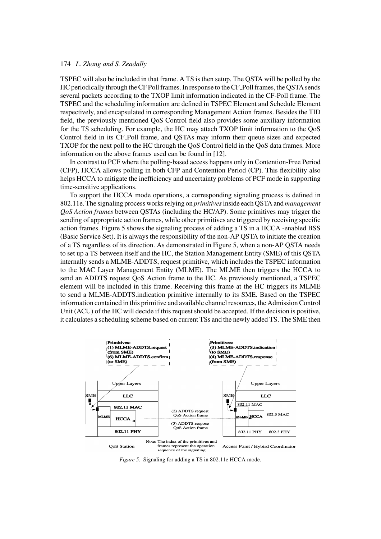TSPEC will also be included in that frame. A TS is then setup. The QSTA will be polled by the HC periodically through the CF Poll frames. In response to the CF Poll frames, the QSTA sends several packets according to the TXOP limit information indicated in the CF-Poll frame. The TSPEC and the scheduling information are defined in TSPEC Element and Schedule Element respectively, and encapsulated in corresponding Management Action frames. Besides the TID field, the previously mentioned QoS Control field also provides some auxiliary information for the TS scheduling. For example, the HC may attach TXOP limit information to the QoS Control field in its CF Poll frame, and QSTAs may inform their queue sizes and expected TXOP for the next poll to the HC through the QoS Control field in the QoS data frames. More information on the above frames used can be found in [12].

In contrast to PCF where the polling-based access happens only in Contention-Free Period (CFP), HCCA allows polling in both CFP and Contention Period (CP). This flexibility also helps HCCA to mitigate the inefficiency and uncertainty problems of PCF mode in supporting time-sensitive applications.

To support the HCCA mode operations, a corresponding signaling process is defined in 802.11e. The signaling process works relying on *primitives*inside each QSTA and *management QoS Action frames* between QSTAs (including the HC/AP). Some primitives may trigger the sending of appropriate action frames, while other primitives are triggered by receiving specific action frames. Figure 5 shows the signaling process of adding a TS in a HCCA -enabled BSS (Basic Service Set). It is always the responsibility of the non-AP QSTA to initiate the creation of a TS regardless of its direction. As demonstrated in Figure 5, when a non-AP QSTA needs to set up a TS between itself and the HC, the Station Management Entity (SME) of this QSTA internally sends a MLME-ADDTS, request primitive, which includes the TSPEC information to the MAC Layer Management Entity (MLME). The MLME then triggers the HCCA to send an ADDTS request QoS Action frame to the HC. As previously mentioned, a TSPEC element will be included in this frame. Receiving this frame at the HC triggers its MLME to send a MLME-ADDTS.indication primitive internally to its SME. Based on the TSPEC information contained in this primitive and available channel resources, the Admission Control Unit (ACU) of the HC will decide if this request should be accepted. If the decision is positive, it calculates a scheduling scheme based on current TSs and the newly added TS. The SME then



*Figure 5*. Signaling for adding a TS in 802.11e HCCA mode.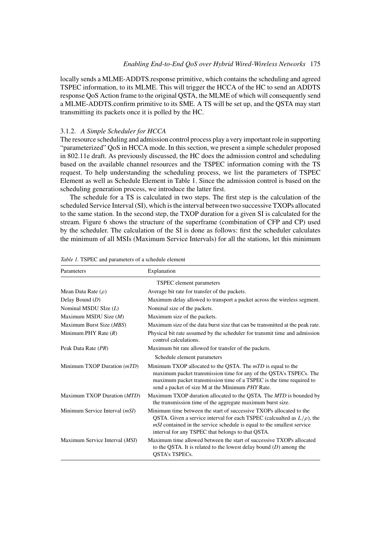locally sends a MLME-ADDTS.response primitive, which contains the scheduling and agreed TSPEC information, to its MLME. This will trigger the HCCA of the HC to send an ADDTS response QoS Action frame to the original QSTA, the MLME of which will consequently send a MLME-ADDTS.confirm primitive to its SME. A TS will be set up, and the QSTA may start transmitting its packets once it is polled by the HC.

### 3.1.2. *A Simple Scheduler for HCCA*

The resource scheduling and admission control process play a very important role in supporting "parameterized" QoS in HCCA mode. In this section, we present a simple scheduler proposed in 802.11e draft. As previously discussed, the HC does the admission control and scheduling based on the available channel resources and the TSPEC information coming with the TS request. To help understanding the scheduling process, we list the parameters of TSPEC Element as well as Schedule Element in Table 1. Since the admission control is based on the scheduling generation process, we introduce the latter first.

The schedule for a TS is calculated in two steps. The first step is the calculation of the scheduled Service Interval (SI), which is the interval between two successive TXOPs allocated to the same station. In the second step, the TXOP duration for a given SI is calculated for the stream. Figure 6 shows the structure of the superframe (combination of CFP and CP) used by the scheduler. The calculation of the SI is done as follows: first the scheduler calculates the minimum of all MSIs (Maximum Service Intervals) for all the stations, let this minimum

| Parameters                              | Explanation                                                                                                                                                                                                                                                                               |  |  |  |  |
|-----------------------------------------|-------------------------------------------------------------------------------------------------------------------------------------------------------------------------------------------------------------------------------------------------------------------------------------------|--|--|--|--|
|                                         | TSPEC element parameters                                                                                                                                                                                                                                                                  |  |  |  |  |
| Mean Data Rate $(\rho)$                 | Average bit rate for transfer of the packets.                                                                                                                                                                                                                                             |  |  |  |  |
| Delay Bound $(D)$                       | Maximum delay allowed to transport a packet across the wireless segment.                                                                                                                                                                                                                  |  |  |  |  |
| Nominal MSDU SIze $(L)$                 | Nominal size of the packets.                                                                                                                                                                                                                                                              |  |  |  |  |
| Maximum MSDU Size $(M)$                 | Maximum size of the packets.                                                                                                                                                                                                                                                              |  |  |  |  |
| Maximum Burst Size ( <i>MBS</i> )       | Maximum size of the data burst size that can be transmitted at the peak rate.                                                                                                                                                                                                             |  |  |  |  |
| Minimum PHY Rate $(R)$                  | Physical bit rate assumed by the scheduler for transmit time and admission<br>control calculations.                                                                                                                                                                                       |  |  |  |  |
| Peak Data Rate ( <i>PR</i> )            | Maximum bit rate allowed for transfer of the packets.                                                                                                                                                                                                                                     |  |  |  |  |
|                                         | Schedule element parameters                                                                                                                                                                                                                                                               |  |  |  |  |
| Minimum TXOP Duration $(mTD)$           | Minimum TXOP allocated to the QSTA. The $mTD$ is equal to the<br>maximum packet transmission time for any of the QSTA's TSPECs. The<br>maximum packet transmission time of a TSPEC is the time required to<br>send a packet of size M at the Minimum PHY Rate.                            |  |  |  |  |
| Maximum TXOP Duration (MTD)             | Maximum TXOP duration allocated to the QSTA. The MTD is bounded by<br>the transmission time of the aggregate maximum burst size.                                                                                                                                                          |  |  |  |  |
| Minimum Service Interval ( <i>mSI</i> ) | Minimum time between the start of successive TXOPs allocated to the<br>QSTA. Given a service interval for each TSPEC (calcualted as $L/\rho$ ), the<br><i>mSI</i> contained in the service schedule is equal to the smallest service<br>interval for any TSPEC that belongs to that QSTA. |  |  |  |  |
| Maximum Service Interval ( <i>MSI</i> ) | Maximum time allowed between the start of successive TXOPs allocated<br>to the QSTA. It is related to the lowest delay bound $(D)$ among the<br><b>QSTA's TSPECs.</b>                                                                                                                     |  |  |  |  |

*Table 1.* TSPEC and parameters of a schedule element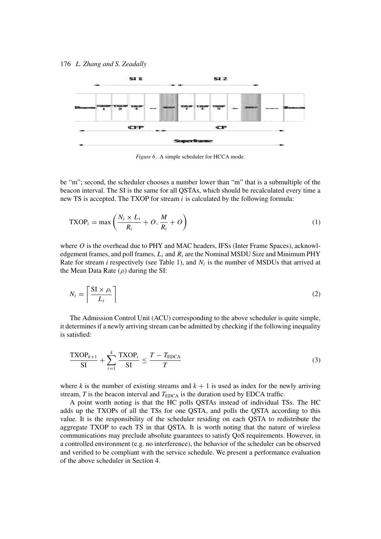

*Figure 6*. A simple scheduler for HCCA mode.

be "m"; second, the scheduler chooses a number lower than "m" that is a submultiple of the beacon interval. The SI is the same for all QSTAs, which should be recalculated every time a new TS is accepted. The TXOP for stream *i* is calculated by the following formula:

$$
\text{TXOP}_i = \max\left(\frac{N_i \times L_i}{R_i} + O, \frac{M}{R_i} + O\right) \tag{1}
$$

where *O* is the overhead due to PHY and MAC headers, IFSs (Inter Frame Spaces), acknowledgement frames, and poll frames, *Li* and *Ri* are the Nominal MSDU Size and Minimum PHY Rate for stream *i* respectively (see Table 1), and *Ni* is the number of MSDUs that arrived at the Mean Data Rate  $(\rho)$  during the SI:

$$
N_i = \left\lceil \frac{\text{SI} \times \rho_i}{L_i} \right\rceil \tag{2}
$$

The Admission Control Unit (ACU) corresponding to the above scheduler is quite simple, it determines if a newly arriving stream can be admitted by checking if the following inequality is satisfied:

$$
\frac{\text{TXOP}_{k+1}}{\text{SI}} + \sum_{i=1}^{k} \frac{\text{TXOP}_{i}}{\text{SI}} \le \frac{T - T_{\text{EDCA}}}{T}
$$
(3)

where *k* is the number of existing streams and  $k + 1$  is used as index for the newly arriving stream,  $T$  is the beacon interval and  $T_{\text{EDCA}}$  is the duration used by EDCA traffic.

A point worth noting is that the HC polls QSTAs instead of individual TSs. The HC adds up the TXOPs of all the TSs for one QSTA, and polls the QSTA according to this value. It is the responsibility of the scheduler residing on each QSTA to redistribute the aggregate TXOP to each TS in that QSTA. It is worth noting that the nature of wireless communications may preclude absolute guarantees to satisfy QoS requirements. However, in a controlled environment (e.g. no interference), the behavior of the scheduler can be observed and verified to be compliant with the service schedule. We present a performance evaluation of the above scheduler in Section 4.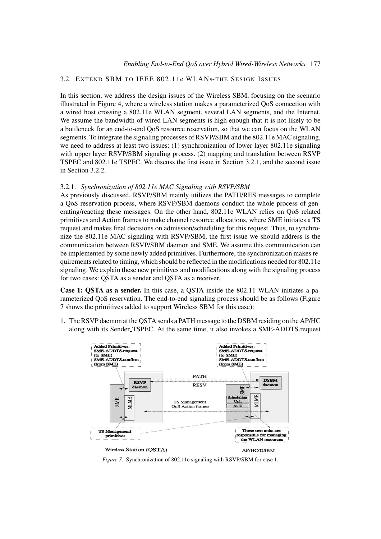## 3.2. EXTEND SBM TO IEEE 802.11e WLANs-THE SESIGN ISSUES

In this section, we address the design issues of the Wireless SBM, focusing on the scenario illustrated in Figure 4, where a wireless station makes a parameterized QoS connection with a wired host crossing a 802.11e WLAN segment, several LAN segments, and the Internet. We assume the bandwidth of wired LAN segments is high enough that it is not likely to be a bottleneck for an end-to-end QoS resource reservation, so that we can focus on the WLAN segments. To integrate the signaling processes of RSVP/SBM and the 802.11e MAC signaling, we need to address at least two issues: (1) synchronization of lower layer 802.11e signaling with upper layer RSVP/SBM signaling process. (2) mapping and translation between RSVP TSPEC and 802.11e TSPEC. We discuss the first issue in Section 3.2.1, and the second issue in Section 3.2.2.

### 3.2.1. *Synchronization of 802.11e MAC Signaling with RSVP/SBM*

As previously discussed, RSVP/SBM mainly utilizes the PATH/RES messages to complete a QoS reservation process, where RSVP/SBM daemons conduct the whole process of generating/reacting these messages. On the other hand, 802.11e WLAN relies on QoS related primitives and Action frames to make channel resource allocations, where SME initiates a TS request and makes final decisions on admission/scheduling for this request. Thus, to synchronize the 802.11e MAC signaling with RSVP/SBM, the first issue we should address is the communication between RSVP/SBM daemon and SME. We assume this communication can be implemented by some newly added primitives. Furthermore, the synchronization makes requirements related to timing, which should be reflected in the modifications needed for 802.11e signaling. We explain these new primitives and modifications along with the signaling process for two cases: QSTA as a sender and QSTA as a receiver.

**Case 1: QSTA as a sender.** In this case, a QSTA inside the 802.11 WLAN initiates a parameterized QoS reservation. The end-to-end signaling process should be as follows (Figure 7 shows the primitives added to support Wireless SBM for this case):

1. The RSVP daemon at the QSTA sends a PATH message to the DSBM residing on the AP/HC along with its Sender TSPEC. At the same time, it also invokes a SME-ADDTS.request



*Figure 7*. Synchronization of 802.11e signaling with RSVP/SBM for case 1.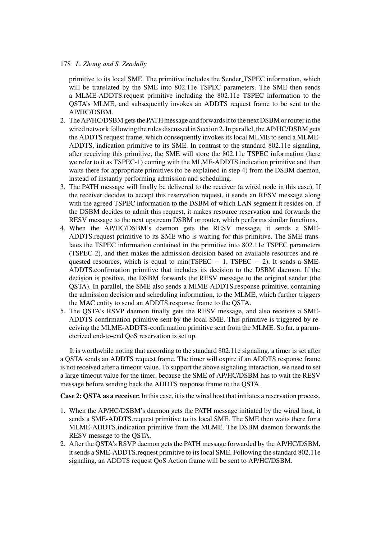primitive to its local SME. The primitive includes the Sender TSPEC information, which will be translated by the SME into 802.11e TSPEC parameters. The SME then sends a MLME-ADDTS.request primitive including the 802.11e TSPEC information to the QSTA's MLME, and subsequently invokes an ADDTS request frame to be sent to the AP/HC/DSBM.

- 2. The AP/HC/DSBM gets the PATH message and forwards it to the next DSBM or router in the wired network following the rules discussed in Section 2. In parallel, the AP/HC/DSBM gets the ADDTS request frame, which consequently invokes its local MLME to send a MLME-ADDTS, indication primitive to its SME. In contrast to the standard 802.11e signaling, after receiving this primitive, the SME will store the 802.11e TSPEC information (here we refer to it as TSPEC-1) coming with the MLME-ADDTS.indication primitive and then waits there for appropriate primitives (to be explained in step 4) from the DSBM daemon, instead of instantly performing admission and scheduling.
- 3. The PATH message will finally be delivered to the receiver (a wired node in this case). If the receiver decides to accept this reservation request, it sends an RESV message along with the agreed TSPEC information to the DSBM of which LAN segment it resides on. If the DSBM decides to admit this request, it makes resource reservation and forwards the RESV message to the next upstream DSBM or router, which performs similar functions.
- 4. When the AP/HC/DSBM's daemon gets the RESV message, it sends a SME-ADDTS.request primitive to its SME who is waiting for this primitive. The SME translates the TSPEC information contained in the primitive into 802.11e TSPEC parameters (TSPEC-2), and then makes the admission decision based on available resources and requested resources, which is equal to min(TSPEC  $-1$ , TSPEC  $-2$ ). It sends a SME-ADDTS.confirmation primitive that includes its decision to the DSBM daemon. If the decision is positive, the DSBM forwards the RESV message to the original sender (the QSTA). In parallel, the SME also sends a MIME-ADDTS.response primitive, containing the admission decision and scheduling information, to the MLME, which further triggers the MAC entity to send an ADDTS.response frame to the QSTA.
- 5. The QSTA's RSVP daemon finally gets the RESV message, and also receives a SME-ADDTS-confirmation primitive sent by the local SME. This primitive is triggered by receiving the MLME-ADDTS-confirmation primitive sent from the MLME. So far, a parameterized end-to-end QoS reservation is set up.

It is worthwhile noting that according to the standard 802.11e signaling, a timer is set after a QSTA sends an ADDTS request frame. The timer will expire if an ADDTS response frame is not received after a timeout value. To support the above signaling interaction, we need to set a large timeout value for the timer, because the SME of AP/HC/DSBM has to wait the RESV message before sending back the ADDTS response frame to the QSTA.

**Case 2: QSTA as a receiver.** In this case, it is the wired host that initiates a reservation process.

- 1. When the AP/HC/DSBM's daemon gets the PATH message initiated by the wired host, it sends a SME-ADDTS.request primitive to its local SME. The SME then waits there for a MLME-ADDTS.indication primitive from the MLME. The DSBM daemon forwards the RESV message to the QSTA.
- 2. After the QSTA's RSVP daemon gets the PATH message forwarded by the AP/HC/DSBM, it sends a SME-ADDTS.request primitive to its local SME. Following the standard 802.11e signaling, an ADDTS request QoS Action frame will be sent to AP/HC/DSBM.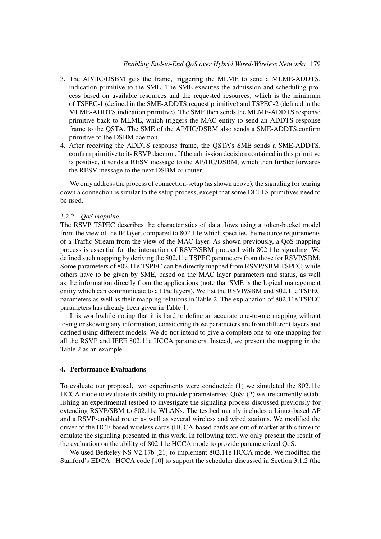- 3. The AP/HC/DSBM gets the frame, triggering the MLME to send a MLME-ADDTS. indication primitive to the SME. The SME executes the admission and scheduling process based on available resources and the requested resources, which is the minimum of TSPEC-1 (defined in the SME-ADDTS.request primitive) and TSPEC-2 (defined in the MLME-ADDTS.indication primitive). The SME then sends the MLME-ADDTS.response primitive back to MLME, which triggers the MAC entity to send an ADDTS response frame to the QSTA. The SME of the AP/HC/DSBM also sends a SME-ADDTS.confirm primitive to the DSBM daemon.
- 4. After receiving the ADDTS response frame, the QSTA's SME sends a SME-ADDTS. confirm primitive to its RSVP daemon. If the admission decision contained in this primitive is positive, it sends a RESV message to the AP/HC/DSBM, which then further forwards the RESV message to the next DSBM or router.

We only address the process of connection-setup (as shown above), the signaling for tearing down a connection is similar to the setup process, except that some DELTS primitives need to be used.

## 3.2.2. *QoS mapping*

The RSVP TSPEC describes the characteristics of data flows using a token-bucket model from the view of the IP layer, compared to 802.11e which specifies the resource requirements of a Traffic Stream from the view of the MAC layer. As shown previously, a QoS mapping process is essential for the interaction of RSVP/SBM protocol with 802.11e signaling. We defined such mapping by deriving the 802.11e TSPEC parameters from those for RSVP/SBM. Some parameters of 802.11e TSPEC can be directly mapped from RSVP/SBM TSPEC, while others have to be given by SME, based on the MAC layer parameters and status, as well as the information directly from the applications (note that SME is the logical management entity which can communicate to all the layers). We list the RSVP/SBM and 802.11e TSPEC parameters as well as their mapping relations in Table 2. The explanation of 802.11e TSPEC parameters has already been given in Table 1.

It is worthwhile noting that it is hard to define an accurate one-to-one mapping without losing or skewing any information, considering those parameters are from different layers and defined using different models. We do not intend to give a complete one-to-one mapping for all the RSVP and IEEE 802.11e HCCA parameters. Instead, we present the mapping in the Table 2 as an example.

## **4. Performance Evaluations**

To evaluate our proposal, two experiments were conducted: (1) we simulated the 802.11e HCCA mode to evaluate its ability to provide parameterized QoS; (2) we are currently establishing an experimental testbed to investigate the signaling process discussed previously for extending RSVP/SBM to 802.11e WLANs. The testbed mainly includes a Linux-based AP and a RSVP-enabled router as well as several wireless and wired stations. We modified the driver of the DCF-based wireless cards (HCCA-based cards are out of market at this time) to emulate the signaling presented in this work. In following text, we only present the result of the evaluation on the ability of 802.11e HCCA mode to provide parameterized QoS.

We used Berkeley NS V2.17b [21] to implement 802.11e HCCA mode. We modified the Stanford's EDCA+HCCA code [10] to support the scheduler discussed in Section 3.1.2 (the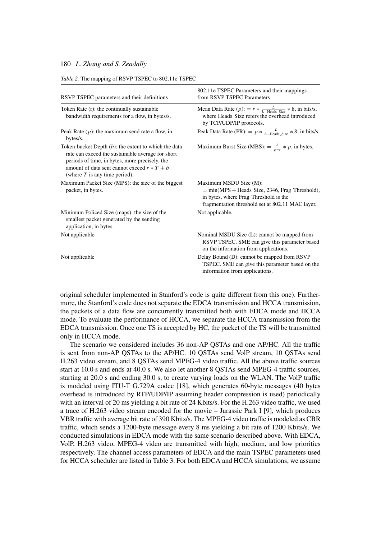| RSVP TSPEC parameters and their definitions                                                                                                                                                                                                        | 802.11e TSPEC Parameters and their mappings<br>from RSVP TSPEC Parameters                                                                                               |
|----------------------------------------------------------------------------------------------------------------------------------------------------------------------------------------------------------------------------------------------------|-------------------------------------------------------------------------------------------------------------------------------------------------------------------------|
| Token Rate (r): the continually sustainable<br>bandwidth requirements for a flow, in bytes/s.                                                                                                                                                      | Mean Data Rate ( $\rho$ ): = $r * \frac{L}{L-\text{Heads}}$ * 8, in bits/s,<br>where Heads Size refers the overhead introduced<br>by TCP/UDP/IP protocols.              |
| Peak Rate $(p)$ : the maximum send rate a flow, in<br>bytes/s.                                                                                                                                                                                     | Peak Data Rate (PR): = $p * \frac{L}{L-\text{Heads-Size}} * 8$ , in bits/s.                                                                                             |
| Token-bucket Depth $(b)$ : the extent to which the data<br>rate can exceed the sustainable average for short<br>periods of time, in bytes, more precisely, the<br>amount of data sent cannot exceed $r * T + b$<br>(where $T$ is any time period). | Maximum Burst Size (MBS): $=$ $\frac{b}{p-r} * p$ , in bytes.                                                                                                           |
| Maximum Packet Size (MPS): the size of the biggest<br>packet, in bytes.                                                                                                                                                                            | Maximum MSDU Size (M):<br>$= min(MPS + Heads Size, 2346, Frag Threshold),$<br>in bytes, where Frag Threshold is the<br>fragmentation threshold set at 802.11 MAC layer. |
| Minimum Policed Size (maps): the size of the<br>smallest packet generated by the sending<br>application, in bytes.                                                                                                                                 | Not applicable.                                                                                                                                                         |
| Not applicable                                                                                                                                                                                                                                     | Nominal MSDU Size (L): cannot be mapped from<br>RSVP TSPEC. SME can give this parameter based<br>on the information from applications.                                  |
| Not applicable                                                                                                                                                                                                                                     | Delay Bound (D): cannot be mapped from RSVP<br>TSPEC. SME can give this parameter based on the<br>information from applications.                                        |

#### *Table 2.* The mapping of RSVP TSPEC to 802.11e TSPEC

original scheduler implemented in Stanford's code is quite different from this one). Furthermore, the Stanford's code does not separate the EDCA transmission and HCCA transmission, the packets of a data flow are concurrently transmitted both with EDCA mode and HCCA mode. To evaluate the performance of HCCA, we separate the HCCA transmission from the EDCA transmission. Once one TS is accepted by HC, the packet of the TS will be transmitted only in HCCA mode.

The scenario we considered includes 36 non-AP QSTAs and one AP/HC. All the traffic is sent from non-AP QSTAs to the AP/HC. 10 QSTAs send VolP stream, 10 QSTAs send H.263 video stream, and 8 QSTAs send MPEG-4 video traffic. All the above traffic sources start at 10.0 s and ends at 40.0 s. We also let another 8 QSTAs send MPEG-4 traffic sources, starting at 20.0 s and ending 30.0 s, to create varying loads on the WLAN. The VolP traffic is modeled using ITU-T G.729A codec [18], which generates 60-byte messages (40 bytes overhead is introduced by RTP/UDP/IP assuming header compression is used) periodically with an interval of 20 ms yielding a bit rate of 24 Kbits/s. For the H.263 video traffic, we used a trace of H.263 video stream encoded for the movie – Jurassic Park I [9], which produces VBR traffic with average bit rate of 390 Kbits/s. The MPEG-4 video traffic is modeled as CBR traffic, which sends a 1200-byte message every 8 ms yielding a bit rate of 1200 Kbits/s. We conducted simulations in EDCA mode with the same scenario described above. With EDCA, VolP, H.263 video, MPEG-4 video are transmitted with high, medium, and low priorities respectively. The channel access parameters of EDCA and the main TSPEC parameters used for HCCA scheduler are listed in Table 3. For both EDCA and HCCA simulations, we assume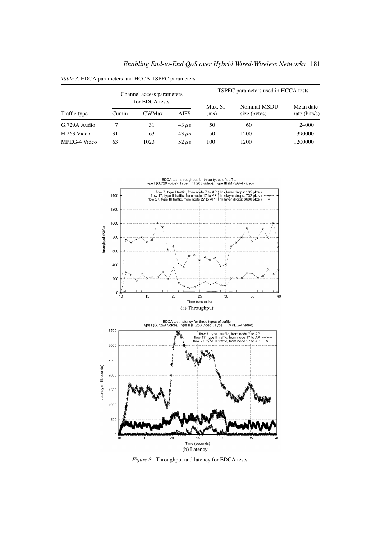|              | Channel access parameters<br>for EDCA tests |              | TSPEC parameters used in HCCA tests |              |              |               |
|--------------|---------------------------------------------|--------------|-------------------------------------|--------------|--------------|---------------|
|              |                                             |              | Max. SI                             | Nominal MSDU | Mean date    |               |
| Traffic type | Cumin                                       | <b>CWMax</b> | <b>AIFS</b>                         | (ms)         | size (bytes) | rate (bits/s) |
| G.729A Audio |                                             | 31           | $43 \mu s$                          | 50           | 60           | 24000         |
| H.263 Video  | 31                                          | 63           | $43 \mu s$                          | 50           | 1200         | 390000        |
| MPEG-4 Video | 63                                          | 1023         | $52 \,\mu s$                        | 100          | 1200         | 1200000       |

*Table 3.* EDCA parameters and HCCA TSPEC parameters





*Figure 8*. Throughput and latency for EDCA tests.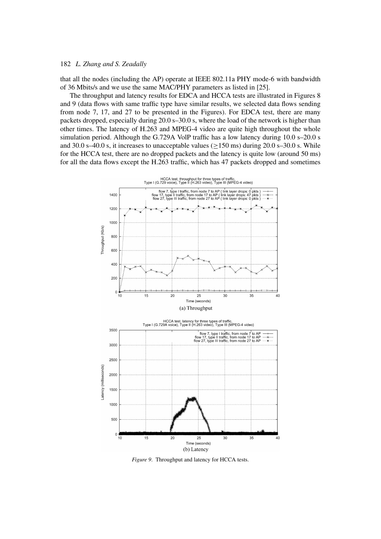that all the nodes (including the AP) operate at IEEE 802.11a PHY mode-6 with bandwidth of 36 Mbits/s and we use the same MAC/PHY parameters as listed in [25].

The throughput and latency results for EDCA and HCCA tests are illustrated in Figures 8 and 9 (data flows with same traffic type have similar results, we selected data flows sending from node 7, 17, and 27 to be presented in the Figures). For EDCA test, there are many packets dropped, especially during 20.0 s–30.0 s, where the load of the network is higher than other times. The latency of H.263 and MPEG-4 video are quite high throughout the whole simulation period. Although the G.729A VolP traffic has a low latency during 10.0 s–20.0 s and  $30.0 \text{ s} - 40.0 \text{ s}$ , it increases to unacceptable values ( $> 150 \text{ ms}$ ) during  $20.0 \text{ s} - 30.0 \text{ s}$ . While for the HCCA test, there are no dropped packets and the latency is quite low (around 50 ms) for all the data flows except the H.263 traffic, which has 47 packets dropped and sometimes



*Figure 9*. Throughput and latency for HCCA tests.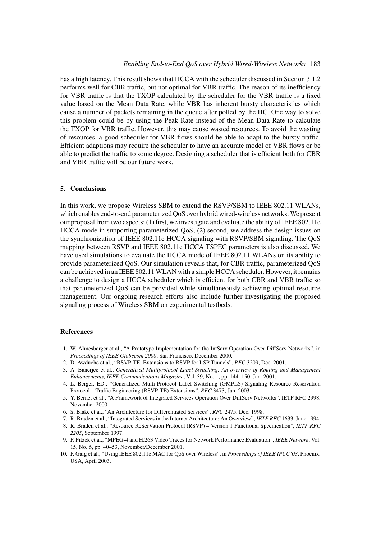has a high latency. This result shows that HCCA with the scheduler discussed in Section 3.1.2 performs well for CBR traffic, but not optimal for VBR traffic. The reason of its inefficiency for VBR traffic is that the TXOP calculated by the scheduler for the VBR traffic is a fixed value based on the Mean Data Rate, while VBR has inherent bursty characteristics which cause a number of packets remaining in the queue after polled by the HC. One way to solve this problem could be by using the Peak Rate instead of the Mean Data Rate to calculate the TXOP for VBR traffic. However, this may cause wasted resources. To avoid the wasting of resources, a good scheduler for VBR flows should be able to adapt to the bursty traffic. Efficient adaptions may require the scheduler to have an accurate model of VBR flows or be able to predict the traffic to some degree. Designing a scheduler that is efficient both for CBR and VBR traffic will be our future work.

## **5. Conclusions**

In this work, we propose Wireless SBM to extend the RSVP/SBM to IEEE 802.11 WLANs, which enables end-to-end parameterized QoS over hybrid wired-wireless networks. We present our proposal from two aspects: (1) first, we investigate and evaluate the ability of IEEE 802.11e HCCA mode in supporting parameterized QoS; (2) second, we address the design issues on the synchronization of IEEE 802.11e HCCA signaling with RSVP/SBM signaling. The QoS mapping between RSVP and IEEE 802.11e HCCA TSPEC parameters is also discussed. We have used simulations to evaluate the HCCA mode of IEEE 802.11 WLANs on its ability to provide parameterized QoS. Our simulation reveals that, for CBR traffic, parameterized QoS can be achieved in an IEEE 802.11 WLAN with a simple HCCA scheduler. However, it remains a challenge to design a HCCA scheduler which is efficient for both CBR and VBR traffic so that parameterized QoS can be provided while simultaneously achieving optimal resource management. Our ongoing research efforts also include further investigating the proposed signaling process of Wireless SBM on experimental testbeds.

### **References**

- 1. W. Almesberger et al., "A Prototype Implementation for the IntServ Operation Over DiffServ Networks", in *Proceedings of IEEE Globecom 2000*, San Francisco, December 2000.
- 2. D. Awduche et al., "RSVP-TE: Extensions to RSVP for LSP Tunnels", *RFC* 3209, Dec. 2001.
- 3. A. Banerjee et al., *Generalized Multiprotocol Label Switching: An overview of Routing and Management Enhancements, IEEE Communications Magazine*, Vol. 39, No. 1, pp. 144–150, Jan. 2001.
- 4. L. Berger, ED., "Generalized Multi-Protocol Label Switching (GMPLS) Signaling Resource Reservation Protocol – Traffic Engineering (RSVP-TE) Extensions", *RFC* 3473, Jan. 2003.
- 5. Y. Bernet et al., "A Framework of Integrated Services Operation Over DiffServ Networks", IETF RFC 2998, November 2000.
- 6. S. Blake et al., "An Architecture for Differentiated Services", *RFC* 2475, Dec. 1998.
- 7. R. Braden et al., "Integrated Services in the Internet Architecture: An Overview", *IETF RFC* 1633, June 1994.
- 8. R. Braden et al., "Resource ReSerVation Protocol (RSVP) Version 1 Functional Specification", *IETF RFC 2205*, September 1997.
- 9. F. Fitzek et al., "MPEG-4 and H.263 Video Traces for Network Performance Evaluation", *IEEE Network*, Vol. 15, No. 6, pp. 40–53, November/December 2001.
- 10. P. Garg et al., "Using IEEE 802.11e MAC for QoS over Wireless", in *Proceedings of IEEE IPCC'03*, Phoenix, USA, April 2003.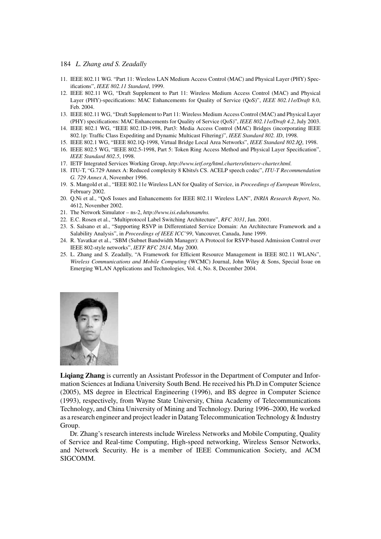- 11. IEEE 802.11 WG. "Part 11: Wireless LAN Medium Access Control (MAC) and Physical Layer (PHY) Specifications", *IEEE 802.11 Standard*, 1999.
- 12. IEEE 802.11 WG, "Draft Supplement to Part 11: Wireless Medium Access Control (MAC) and Physical Layer (PHY)-specifications: MAC Enhancements for Quality of Service (QoS)", *IEEE 802.11e/Draft* 8.0, Feb. 2004.
- 13. IEEE 802.11 WG, "Draft Supplement to Part 11: Wireless Medium Access Control (MAC) and Physical Layer (PHY) specifications: MAC Enhancements for Quality of Service (QoS)", *IEEE 802.11e/Draft 4.2*, July 2003.
- 14. IEEE 802.1 WG, "IEEE 802.1D-1998, Part3: Media Access Control (MAC) Bridges (incorporating IEEE 802.1p: Traffic Class Expediting and Dynamic Multicast Filtering)", *IEEE Standard 802. ID*, 1998.
- 15. IEEE 802.1 WG, "IEEE 802.1Q-1998, Virtual Bridge Local Area Networks", *IEEE Standard 802.IQ*, 1998.
- 16. IEEE 802.5 WG, "IEEE 802.5-1998, Part 5: Token Ring Access Method and Physical Layer Specification", *IEEE Standard 802.5*, 1998.
- 17. IETF Integrated Services Working Group, *http://www.ietf.org/html.charters/intserv-charter.html.*
- 18. ITU-T, "G.729 Annex A: Reduced complexity 8 Kbits/s CS. ACELP speech codec", *ITU-T Recommendation G. 729 Annex A*, November 1996.
- 19. S. Mangold et al., "IEEE 802.11e Wireless LAN for Quality of Service, in *Proceedings of European Wireless*, February 2002.
- 20. Q.Ni et al., "QoS Issues and Enhancements for IEEE 802.11 Wireless LAN", *INRIA Research Report*, No. 4612, November 2002.
- 21. The Network Simulator ns-2, *http://www.isi.edu/nsnam/ns.*
- 22. E.C. Rosen et al., "Multiprotocol Label Switching Architecture", *RFC 3031*, Jan. 2001.
- 23. S. Salsano et al., "Supporting RSVP in Differentiated Service Domain: An Architecture Framework and a Salability Analysis", in *Proceedings of IEEE ICC'99*, Vancouver, Canada, June 1999.
- 24. R. Yavatkar et al., "SBM (Subnet Bandwidth Manager): A Protocol for RSVP-based Admission Control over IEEE 802-style networks", *IETF RFC 2814*, May 2000.
- 25. L. Zhang and S. Zeadally, "A Framework for Efficient Resource Management in IEEE 802.11 WLANs", *Wireless Communications and Mobile Computing* (WCMC) Journal, John Wiley & Sons, Special Issue on Emerging WLAN Applications and Technologies, Vol. 4, No. 8, December 2004.



**Liqiang Zhang** is currently an Assistant Professor in the Department of Computer and Information Sciences at Indiana University South Bend. He received his Ph.D in Computer Science (2005), MS degree in Electrical Engineering (1996), and BS degree in Computer Science (1993), respectively, from Wayne State University, China Academy of Telecommunications Technology, and China University of Mining and Technology. During 1996–2000, He worked as a research engineer and project leader in Datang Telecommunication Technology & Industry Group.

Dr. Zhang's research interests include Wireless Networks and Mobile Computing, Quality of Service and Real-time Computing, High-speed networking, Wireless Sensor Networks, and Network Security. He is a member of IEEE Communication Society, and ACM SIGCOMM.